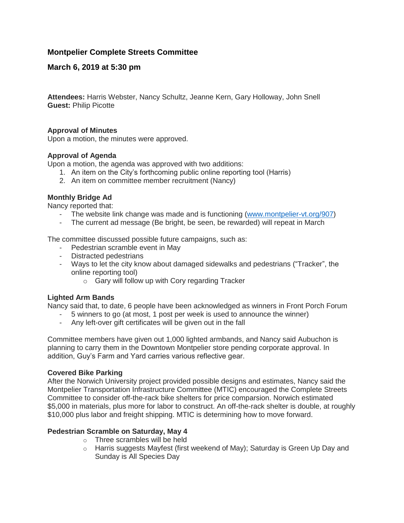# **Montpelier Complete Streets Committee**

# **March 6, 2019 at 5:30 pm**

**Attendees:** Harris Webster, Nancy Schultz, Jeanne Kern, Gary Holloway, John Snell **Guest:** Philip Picotte

#### **Approval of Minutes**

Upon a motion, the minutes were approved.

### **Approval of Agenda**

Upon a motion, the agenda was approved with two additions:

- 1. An item on the City's forthcoming public online reporting tool (Harris)
- 2. An item on committee member recruitment (Nancy)

#### **Monthly Bridge Ad**

Nancy reported that:

- The website link change was made and is functioning [\(www.montpelier-vt.org/907\)](http://www.montpelier-vt.org/907)
- The current ad message (Be bright, be seen, be rewarded) will repeat in March

The committee discussed possible future campaigns, such as:

- Pedestrian scramble event in May
- Distracted pedestrians
- Ways to let the city know about damaged sidewalks and pedestrians ("Tracker", the online reporting tool)
	- o Gary will follow up with Cory regarding Tracker

#### **Lighted Arm Bands**

Nancy said that, to date, 6 people have been acknowledged as winners in Front Porch Forum

- 5 winners to go (at most, 1 post per week is used to announce the winner)
- Any left-over gift certificates will be given out in the fall

Committee members have given out 1,000 lighted armbands, and Nancy said Aubuchon is planning to carry them in the Downtown Montpelier store pending corporate approval. In addition, Guy's Farm and Yard carries various reflective gear.

#### **Covered Bike Parking**

After the Norwich University project provided possible designs and estimates, Nancy said the Montpelier Transportation Infrastructure Committee (MTIC) encouraged the Complete Streets Committee to consider off-the-rack bike shelters for price comparsion. Norwich estimated \$5,000 in materials, plus more for labor to construct. An off-the-rack shelter is double, at roughly \$10,000 plus labor and freight shipping. MTIC is determining how to move forward.

### **Pedestrian Scramble on Saturday, May 4**

- o Three scrambles will be held
- $\circ$  Harris suggests Mayfest (first weekend of May); Saturday is Green Up Day and Sunday is All Species Day